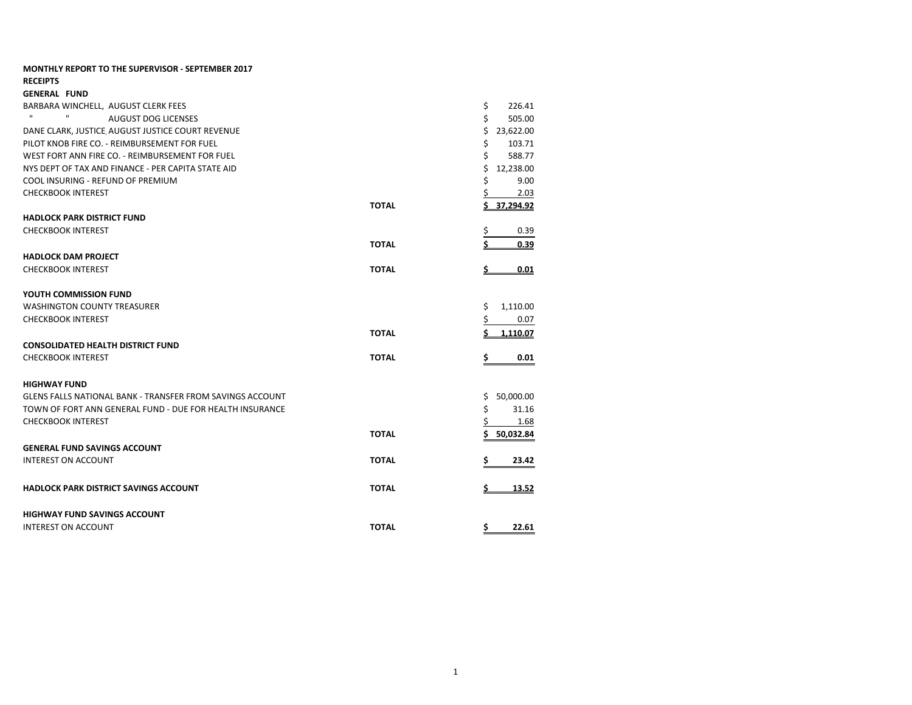| <b>MONTHLY REPORT TO THE SUPERVISOR - SEPTEMBER 2017</b>         |              |    |           |
|------------------------------------------------------------------|--------------|----|-----------|
| <b>RECEIPTS</b>                                                  |              |    |           |
| <b>GENERAL FUND</b>                                              |              |    |           |
| BARBARA WINCHELL. AUGUST CLERK FEES                              |              | \$ | 226.41    |
| $\mathbf{H}$<br>$\mathbf{H}$<br><b>AUGUST DOG LICENSES</b>       |              | \$ | 505.00    |
| DANE CLARK, JUSTICE AUGUST JUSTICE COURT REVENUE                 |              | \$ | 23,622.00 |
| PILOT KNOB FIRE CO. - REIMBURSEMENT FOR FUEL                     |              | \$ | 103.71    |
| WEST FORT ANN FIRE CO. - REIMBURSEMENT FOR FUEL                  |              | \$ | 588.77    |
| NYS DEPT OF TAX AND FINANCE - PER CAPITA STATE AID               |              | Ś  | 12,238.00 |
| COOL INSURING - REFUND OF PREMIUM                                |              |    | 9.00      |
| <b>CHECKBOOK INTEREST</b>                                        |              |    | 2.03      |
|                                                                  | <b>TOTAL</b> |    | 37,294.92 |
| <b>HADLOCK PARK DISTRICT FUND</b>                                |              |    |           |
| <b>CHECKBOOK INTEREST</b>                                        |              | \$ | 0.39      |
|                                                                  | <b>TOTAL</b> |    | 0.39      |
| <b>HADLOCK DAM PROJECT</b>                                       |              |    |           |
| <b>CHECKBOOK INTEREST</b>                                        | <b>TOTAL</b> |    | 0.01      |
|                                                                  |              |    |           |
| YOUTH COMMISSION FUND                                            |              |    |           |
| <b>WASHINGTON COUNTY TREASURER</b>                               |              | \$ | 1,110.00  |
| <b>CHECKBOOK INTEREST</b>                                        |              | \$ | 0.07      |
|                                                                  | <b>TOTAL</b> |    | 1.110.07  |
| <b>CONSOLIDATED HEALTH DISTRICT FUND</b>                         |              |    |           |
| <b>CHECKBOOK INTEREST</b>                                        | <b>TOTAL</b> | \$ | 0.01      |
| <b>HIGHWAY FUND</b>                                              |              |    |           |
| <b>GLENS FALLS NATIONAL BANK - TRANSFER FROM SAVINGS ACCOUNT</b> |              | S  | 50,000.00 |
| TOWN OF FORT ANN GENERAL FUND - DUE FOR HEALTH INSURANCE         |              | Ś. | 31.16     |
| <b>CHECKBOOK INTEREST</b>                                        |              | S  | 1.68      |
|                                                                  | <b>TOTAL</b> |    | 50,032.84 |
|                                                                  |              |    |           |
| <b>GENERAL FUND SAVINGS ACCOUNT</b>                              |              |    |           |
| <b>INTEREST ON ACCOUNT</b>                                       | <b>TOTAL</b> | s  | 23.42     |
| <b>HADLOCK PARK DISTRICT SAVINGS ACCOUNT</b>                     | <b>TOTAL</b> | \$ | 13.52     |
| <b>HIGHWAY FUND SAVINGS ACCOUNT</b>                              |              |    |           |
| <b>INTEREST ON ACCOUNT</b>                                       | <b>TOTAL</b> | Ś. | 22.61     |
|                                                                  |              |    |           |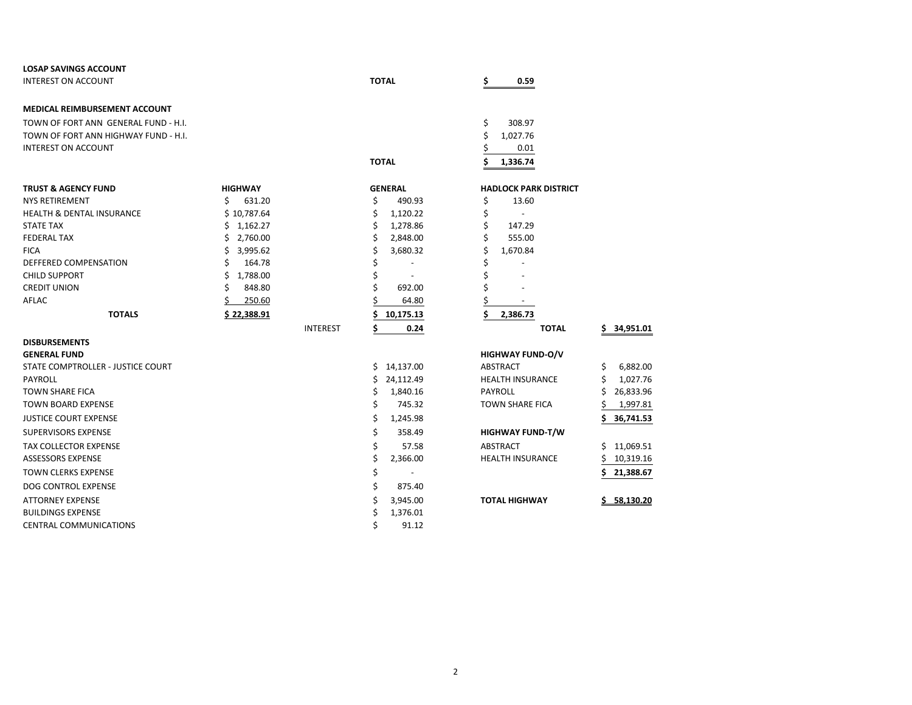| <b>LOSAP SAVINGS ACCOUNT</b>         |                |                 |              |                          |         |                              |     |               |
|--------------------------------------|----------------|-----------------|--------------|--------------------------|---------|------------------------------|-----|---------------|
| <b>INTEREST ON ACCOUNT</b>           |                |                 | <b>TOTAL</b> |                          |         | 0.59                         |     |               |
| <b>MEDICAL REIMBURSEMENT ACCOUNT</b> |                |                 |              |                          |         |                              |     |               |
| TOWN OF FORT ANN GENERAL FUND - H.I. |                |                 |              |                          |         | 308.97                       |     |               |
| TOWN OF FORT ANN HIGHWAY FUND - H.I. |                |                 |              |                          | \$<br>Ś | 1,027.76                     |     |               |
| <b>INTEREST ON ACCOUNT</b>           |                |                 |              |                          |         | 0.01                         |     |               |
|                                      |                |                 |              |                          |         |                              |     |               |
|                                      |                |                 | <b>TOTAL</b> |                          |         | 1,336.74                     |     |               |
| <b>TRUST &amp; AGENCY FUND</b>       | <b>HIGHWAY</b> |                 |              | <b>GENERAL</b>           |         | <b>HADLOCK PARK DISTRICT</b> |     |               |
| <b>NYS RETIREMENT</b>                | \$<br>631.20   |                 | \$           | 490.93                   | \$      | 13.60                        |     |               |
| <b>HEALTH &amp; DENTAL INSURANCE</b> | \$10,787.64    |                 | \$           | 1,120.22                 | \$      | $\overline{\phantom{a}}$     |     |               |
| <b>STATE TAX</b>                     | \$1,162.27     |                 | \$           | 1,278.86                 | \$      | 147.29                       |     |               |
| <b>FEDERAL TAX</b>                   | \$<br>2,760.00 |                 |              | 2,848.00                 |         | 555.00                       |     |               |
| <b>FICA</b>                          | \$<br>3,995.62 |                 |              | 3,680.32                 | \$      | 1,670.84                     |     |               |
| DEFFERED COMPENSATION                | 164.78         |                 |              |                          |         |                              |     |               |
| <b>CHILD SUPPORT</b>                 | \$<br>1,788.00 |                 |              | $\overline{\phantom{a}}$ |         |                              |     |               |
| <b>CREDIT UNION</b>                  | 848.80         |                 |              | 692.00                   |         |                              |     |               |
| <b>AFLAC</b>                         | 250.60         |                 |              | 64.80                    |         |                              |     |               |
| <b>TOTALS</b>                        | \$22,388.91    |                 |              | 10,175.13                | Ś       | 2,386.73                     |     |               |
|                                      |                | <b>INTEREST</b> | Ś            | 0.24                     |         | <b>TOTAL</b>                 | \$  | 34,951.01     |
| <b>DISBURSEMENTS</b>                 |                |                 |              |                          |         |                              |     |               |
| <b>GENERAL FUND</b>                  |                |                 |              |                          |         | <b>HIGHWAY FUND-O/V</b>      |     |               |
| STATE COMPTROLLER - JUSTICE COURT    |                |                 | \$           | 14,137.00                |         | ABSTRACT                     | \$. | 6,882.00      |
| PAYROLL                              |                |                 | Ś            | 24,112.49                |         | <b>HEALTH INSURANCE</b>      | \$  | 1,027.76      |
| <b>TOWN SHARE FICA</b>               |                |                 | Ś            | 1,840.16                 |         | <b>PAYROLL</b>               | Ś   | 26,833.96     |
| <b>TOWN BOARD EXPENSE</b>            |                |                 | Ś            | 745.32                   |         | <b>TOWN SHARE FICA</b>       |     | 1,997.81      |
| <b>JUSTICE COURT EXPENSE</b>         |                |                 | \$           | 1,245.98                 |         |                              | Ś   | 36,741.53     |
| <b>SUPERVISORS EXPENSE</b>           |                |                 | \$           | 358.49                   |         | <b>HIGHWAY FUND-T/W</b>      |     |               |
| <b>TAX COLLECTOR EXPENSE</b>         |                |                 | Ś            | 57.58                    |         | <b>ABSTRACT</b>              | Ś.  | 11,069.51     |
| <b>ASSESSORS EXPENSE</b>             |                |                 |              | 2,366.00                 |         | <b>HEALTH INSURANCE</b>      |     | 10,319.16     |
| <b>TOWN CLERKS EXPENSE</b>           |                |                 | \$           |                          |         |                              | Ś   | 21,388.67     |
| <b>DOG CONTROL EXPENSE</b>           |                |                 | Ś            | 875.40                   |         |                              |     |               |
| <b>ATTORNEY EXPENSE</b>              |                |                 | Ś            | 3,945.00                 |         | <b>TOTAL HIGHWAY</b>         |     | $5$ 58.130.20 |
| <b>BUILDINGS EXPENSE</b>             |                |                 | Ś            | 1,376.01                 |         |                              |     |               |
| <b>CENTRAL COMMUNICATIONS</b>        |                |                 | Ś            | 91.12                    |         |                              |     |               |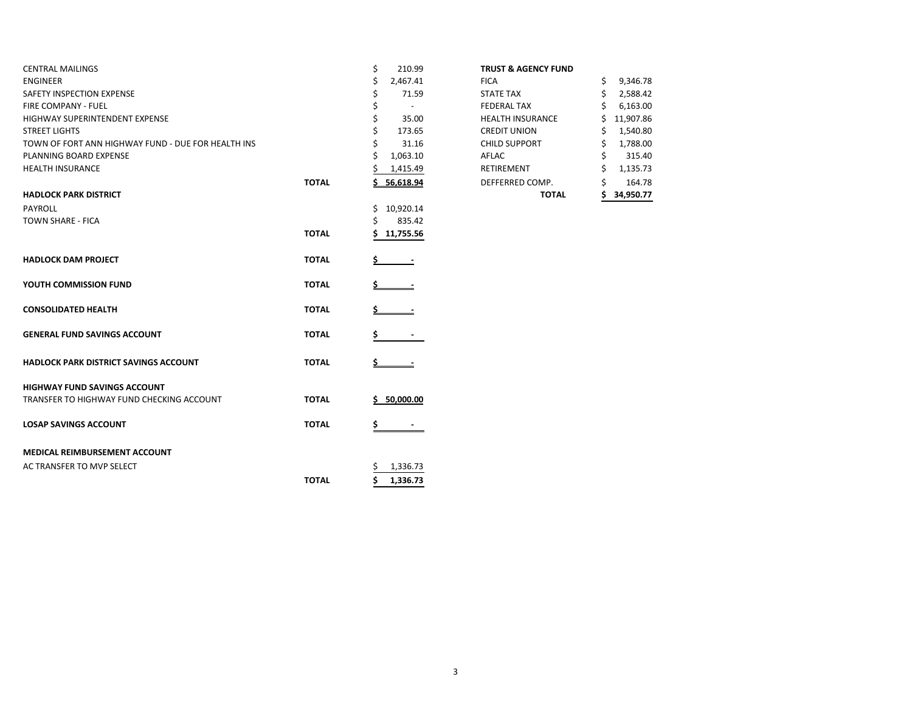| <b>CENTRAL MAILINGS</b>                            |              | \$<br>210.99   | <b>TRUST &amp; AGENCY FUND</b> |                |
|----------------------------------------------------|--------------|----------------|--------------------------------|----------------|
| <b>ENGINEER</b>                                    |              | 2,467.41       | <b>FICA</b>                    | 9,346.78<br>S. |
| SAFETY INSPECTION EXPENSE                          |              | 71.59          | <b>STATE TAX</b>               | 2,588.42       |
| <b>FIRE COMPANY - FUEL</b>                         |              | $\sim$         | <b>FEDERAL TAX</b>             | 6,163.00       |
| HIGHWAY SUPERINTENDENT EXPENSE                     |              | 35.00          | <b>HEALTH INSURANCE</b>        | 11,907.86      |
| STREET LIGHTS                                      |              | 173.65         | <b>CREDIT UNION</b>            | 1,540.80       |
| TOWN OF FORT ANN HIGHWAY FUND - DUE FOR HEALTH INS |              | 31.16          | <b>CHILD SUPPORT</b>           | 1,788.00<br>S  |
| PLANNING BOARD EXPENSE                             |              | 1,063.10       | AFLAC                          | 315.40         |
| <b>HEALTH INSURANCE</b>                            |              | 1,415.49       | RETIREMENT                     | 1,135.73       |
|                                                    | <b>TOTAL</b> | 56,618.94      | DEFFERRED COMP.                | 164.78         |
| HADLOCK PARK DISTRICT                              |              |                | <b>TOTAL</b>                   | 34,950.77      |
| PAYROLL                                            |              | Ś<br>10,920.14 |                                |                |
| TOWN SHARE - FICA                                  |              | 835.42         |                                |                |
|                                                    | <b>TOTAL</b> | 11,755.56      |                                |                |
| <b>HADLOCK DAM PROJECT</b>                         | <b>TOTAL</b> |                |                                |                |
|                                                    |              |                |                                |                |
| YOUTH COMMISSION FUND                              | <b>TOTAL</b> |                |                                |                |
| <b>CONSOLIDATED HEALTH</b>                         | <b>TOTAL</b> |                |                                |                |
| GENERAL FUND SAVINGS ACCOUNT                       | <b>TOTAL</b> |                |                                |                |
| HADLOCK PARK DISTRICT SAVINGS ACCOUNT              | <b>TOTAL</b> |                |                                |                |
| <b>HIGHWAY FUND SAVINGS ACCOUNT</b>                |              |                |                                |                |
| TRANSFER TO HIGHWAY FUND CHECKING ACCOUNT          | <b>TOTAL</b> | \$50,000.00    |                                |                |
| <b>LOSAP SAVINGS ACCOUNT</b>                       | <b>TOTAL</b> | \$             |                                |                |
| MEDICAL REIMBURSEMENT ACCOUNT                      |              |                |                                |                |
| AC TRANSFER TO MVP SELECT                          |              | 1,336.73       |                                |                |
|                                                    | <b>TOTAL</b> | 1,336.73       |                                |                |
|                                                    |              |                |                                |                |

## **TRUST & AGENCY FUND**

|       |                | <b>TOTAL</b>            | ς  | 34,950.77 |
|-------|----------------|-------------------------|----|-----------|
| ΤΟΤΑL | 56,618.94      | DEFFERRED COMP.         | \$ | 164.78    |
|       | 1,415.49       | RETIREMENT              | \$ | 1,135.73  |
|       | \$<br>1,063.10 | AFLAC                   | \$ | 315.40    |
|       | \$<br>31.16    | <b>CHILD SUPPORT</b>    | \$ | 1,788.00  |
|       | \$<br>173.65   | <b>CREDIT UNION</b>     | \$ | 1,540.80  |
|       | \$<br>35.00    | <b>HEALTH INSURANCE</b> | \$ | 11,907.86 |
|       | \$             | <b>FEDERAL TAX</b>      | \$ | 6,163.00  |
|       | \$<br>71.59    | <b>STATE TAX</b>        | \$ | 2,588.42  |
|       | \$<br>2,467.41 | <b>FICA</b>             | \$ | 9,346.78  |